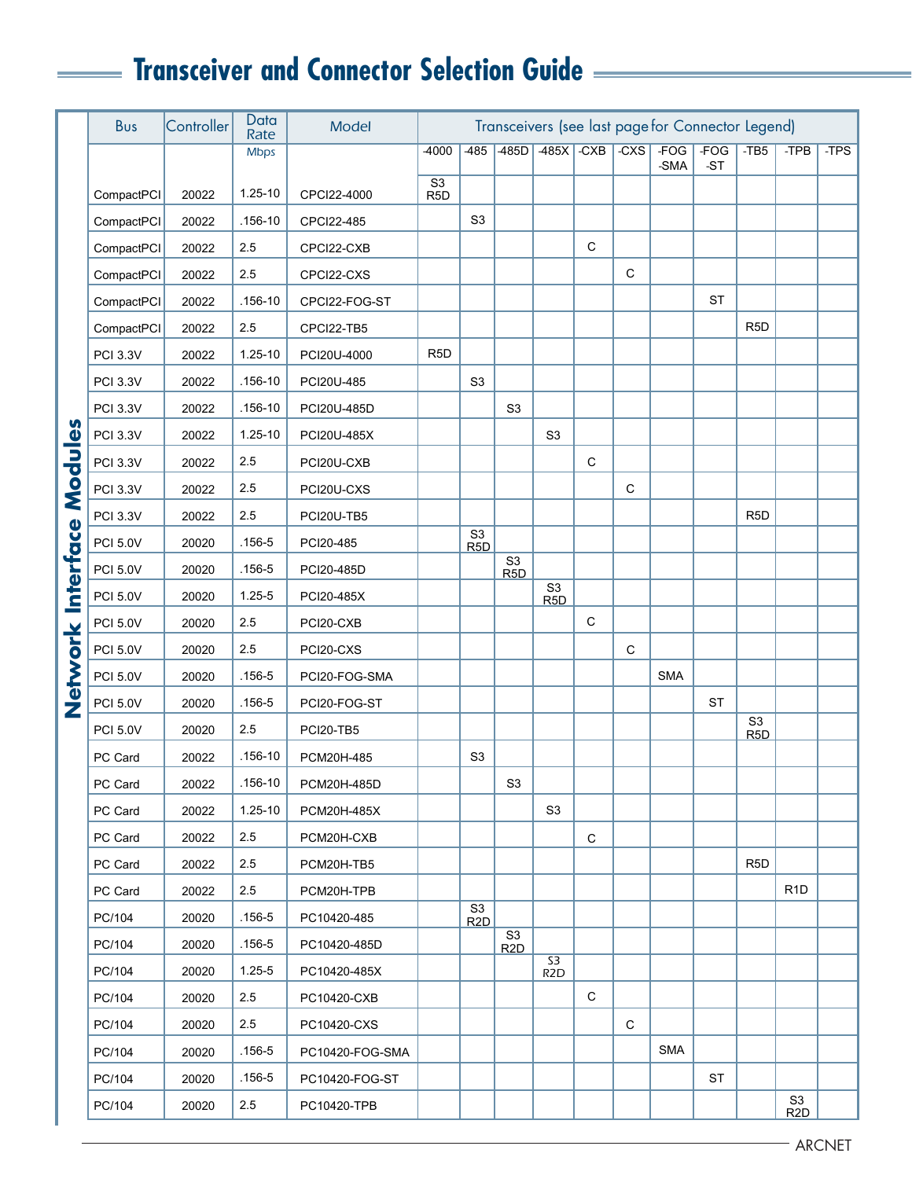## **Transceiver and Connector Selection Guide**

|                   | <b>Bus</b>      | Controller | Data<br>Rate | <b>Model</b>    | Transceivers (see last page for Connector Legend) |                                    |                                    |                                    |             |             |                |                 |                                    |                  |      |
|-------------------|-----------------|------------|--------------|-----------------|---------------------------------------------------|------------------------------------|------------------------------------|------------------------------------|-------------|-------------|----------------|-----------------|------------------------------------|------------------|------|
|                   |                 |            | <b>Mbps</b>  |                 | -4000                                             | 485                                | $-485D$                            | $-485X$                            | $-CXB$      | $-C XX$     | $-FOG$<br>-SMA | $-FOG$<br>$-ST$ | $-TB5$                             | -TPB             | -TPS |
|                   | CompactPCI      | 20022      | $1.25 - 10$  | CPCI22-4000     | S <sub>3</sub><br>R <sub>5</sub> D                |                                    |                                    |                                    |             |             |                |                 |                                    |                  |      |
|                   | CompactPCI      | 20022      | .156-10      | CPCI22-485      |                                                   | S <sub>3</sub>                     |                                    |                                    |             |             |                |                 |                                    |                  |      |
|                   | CompactPCI      | 20022      | 2.5          | CPCI22-CXB      |                                                   |                                    |                                    |                                    | $\mathbf C$ |             |                |                 |                                    |                  |      |
|                   | CompactPCI      | 20022      | 2.5          | CPCI22-CXS      |                                                   |                                    |                                    |                                    |             | $\mathsf C$ |                |                 |                                    |                  |      |
|                   | CompactPCI      | 20022      | $.156 - 10$  | CPCI22-FOG-ST   |                                                   |                                    |                                    |                                    |             |             |                | ST              |                                    |                  |      |
|                   | CompactPCI      | 20022      | 2.5          | CPCI22-TB5      |                                                   |                                    |                                    |                                    |             |             |                |                 | R <sub>5</sub> D                   |                  |      |
|                   | <b>PCI 3.3V</b> | 20022      | 1.25-10      | PCI20U-4000     | R <sub>5</sub> D                                  |                                    |                                    |                                    |             |             |                |                 |                                    |                  |      |
|                   | <b>PCI 3.3V</b> | 20022      | $.156 - 10$  | PCI20U-485      |                                                   | S <sub>3</sub>                     |                                    |                                    |             |             |                |                 |                                    |                  |      |
|                   | <b>PCI 3.3V</b> | 20022      | $.156 - 10$  | PCI20U-485D     |                                                   |                                    | S <sub>3</sub>                     |                                    |             |             |                |                 |                                    |                  |      |
|                   | <b>PCI 3.3V</b> | 20022      | 1.25-10      | PCI20U-485X     |                                                   |                                    |                                    | S <sub>3</sub>                     |             |             |                |                 |                                    |                  |      |
| Modules           | <b>PCI 3.3V</b> | 20022      | 2.5          | PCI20U-CXB      |                                                   |                                    |                                    |                                    | C           |             |                |                 |                                    |                  |      |
|                   | <b>PCI 3.3V</b> | 20022      | 2.5          | PCI20U-CXS      |                                                   |                                    |                                    |                                    |             | C           |                |                 |                                    |                  |      |
|                   | <b>PCI 3.3V</b> | 20022      | 2.5          | PCI20U-TB5      |                                                   |                                    |                                    |                                    |             |             |                |                 | R <sub>5</sub> D                   |                  |      |
|                   | <b>PCI 5.0V</b> | 20020      | $.156 - 5$   | PCI20-485       |                                                   | S <sub>3</sub><br>R <sub>5</sub> D |                                    |                                    |             |             |                |                 |                                    |                  |      |
|                   | <b>PCI 5.0V</b> | 20020      | $.156 - 5$   | PCI20-485D      |                                                   |                                    | S <sub>3</sub><br>R <sub>5</sub> D |                                    |             |             |                |                 |                                    |                  |      |
|                   | <b>PCI 5.0V</b> | 20020      | $1.25 - 5$   | PCI20-485X      |                                                   |                                    |                                    | S <sub>3</sub><br>R <sub>5</sub> D |             |             |                |                 |                                    |                  |      |
|                   | <b>PCI 5.0V</b> | 20020      | 2.5          | PCI20-CXB       |                                                   |                                    |                                    |                                    | $\mathsf C$ |             |                |                 |                                    |                  |      |
|                   | <b>PCI 5.0V</b> | 20020      | 2.5          | PCI20-CXS       |                                                   |                                    |                                    |                                    |             | C           |                |                 |                                    |                  |      |
| Network Interface | <b>PCI 5.0V</b> | 20020      | $.156 - 5$   | PCI20-FOG-SMA   |                                                   |                                    |                                    |                                    |             |             | <b>SMA</b>     |                 |                                    |                  |      |
|                   | <b>PCI 5.0V</b> | 20020      | $.156 - 5$   | PCI20-FOG-ST    |                                                   |                                    |                                    |                                    |             |             |                | <b>ST</b>       |                                    |                  |      |
|                   | <b>PCI 5.0V</b> | 20020      | 2.5          | PCI20-TB5       |                                                   |                                    |                                    |                                    |             |             |                |                 | S <sub>3</sub><br>R <sub>5</sub> D |                  |      |
|                   | PC Card         | 20022      | .156-10      | PCM20H-485      |                                                   | S <sub>3</sub>                     |                                    |                                    |             |             |                |                 |                                    |                  |      |
|                   | PC Card         | 20022      | $.156-10$    | PCM20H-485D     |                                                   |                                    | S <sub>3</sub>                     |                                    |             |             |                |                 |                                    |                  |      |
|                   | PC Card         | 20022      | $1.25 - 10$  | PCM20H-485X     |                                                   |                                    |                                    | S <sub>3</sub>                     |             |             |                |                 |                                    |                  |      |
|                   | PC Card         | 20022      | 2.5          | PCM20H-CXB      |                                                   |                                    |                                    |                                    | $\mathbf C$ |             |                |                 |                                    |                  |      |
|                   | PC Card         | 20022      | 2.5          | PCM20H-TB5      |                                                   |                                    |                                    |                                    |             |             |                |                 | R <sub>5</sub> D                   |                  |      |
|                   | PC Card         | 20022      | 2.5          | PCM20H-TPB      |                                                   |                                    |                                    |                                    |             |             |                |                 |                                    | R <sub>1</sub> D |      |
|                   | PC/104          | 20020      | $.156 - 5$   | PC10420-485     |                                                   | S3<br>R2D                          |                                    |                                    |             |             |                |                 |                                    |                  |      |
|                   | PC/104          | 20020      | $.156 - 5$   | PC10420-485D    |                                                   |                                    | S <sub>3</sub><br>R <sub>2</sub> D |                                    |             |             |                |                 |                                    |                  |      |
|                   | PC/104          | 20020      | $1.25 - 5$   | PC10420-485X    |                                                   |                                    |                                    | S3<br>R <sub>2</sub> D             |             |             |                |                 |                                    |                  |      |
|                   | PC/104          | 20020      | 2.5          | PC10420-CXB     |                                                   |                                    |                                    |                                    | C           |             |                |                 |                                    |                  |      |
|                   | PC/104          | 20020      | 2.5          | PC10420-CXS     |                                                   |                                    |                                    |                                    |             | C           |                |                 |                                    |                  |      |
|                   | PC/104          | 20020      | $.156 - 5$   | PC10420-FOG-SMA |                                                   |                                    |                                    |                                    |             |             | <b>SMA</b>     |                 |                                    |                  |      |
|                   | PC/104          | 20020      | .156-5       | PC10420-FOG-ST  |                                                   |                                    |                                    |                                    |             |             |                | <b>ST</b>       |                                    |                  |      |
|                   | PC/104          | 20020      | 2.5          | PC10420-TPB     |                                                   |                                    |                                    |                                    |             |             |                |                 |                                    | S3<br>R2D        |      |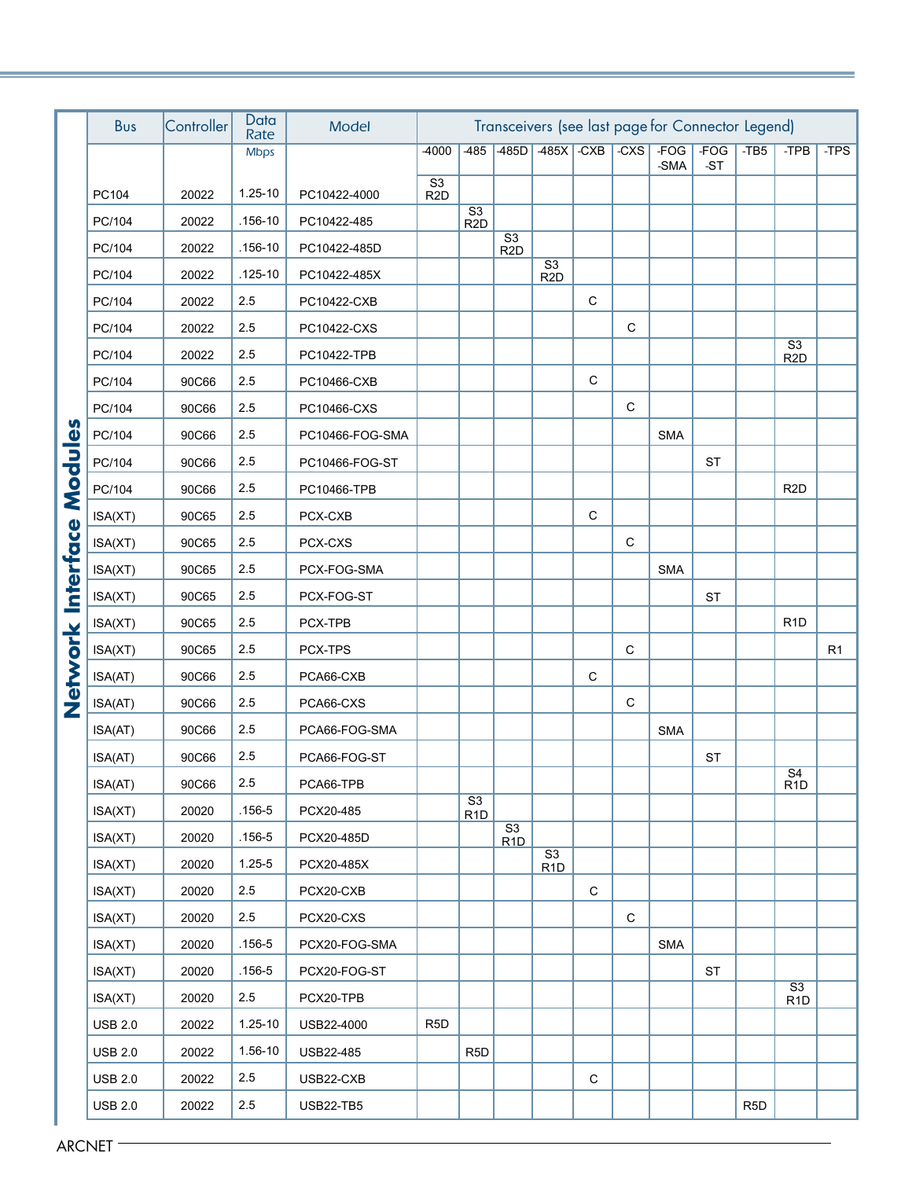|                  | Bus                    | Controller | Data<br>Rate | Model            | Transceivers (see last page for Connector Legend) |                                            |                                            |                                            |                       |             |                |                 |                  |                                    |                |  |
|------------------|------------------------|------------|--------------|------------------|---------------------------------------------------|--------------------------------------------|--------------------------------------------|--------------------------------------------|-----------------------|-------------|----------------|-----------------|------------------|------------------------------------|----------------|--|
|                  |                        |            | <b>Mbps</b>  |                  | -4000                                             | $-485$                                     | 485D                                       |                                            | $-485X$ $-CXB$ $-CXS$ |             | $-FOG$<br>-SMA | $-FOG$<br>$-ST$ | $-TB5$           | -TPB                               | -TPS           |  |
|                  | PC104                  | 20022      | 1.25-10      | PC10422-4000     | S3<br>R <sub>2</sub> D                            |                                            |                                            |                                            |                       |             |                |                 |                  |                                    |                |  |
|                  | PC/104                 | 20022      | $.156 - 10$  | PC10422-485      |                                                   | $\overline{\text{S3}}$<br>R <sub>2</sub> D |                                            |                                            |                       |             |                |                 |                  |                                    |                |  |
|                  | PC/104                 | 20022      | .156-10      | PC10422-485D     |                                                   |                                            | $\overline{\text{S3}}$<br>R <sub>2</sub> D |                                            |                       |             |                |                 |                  |                                    |                |  |
|                  | PC/104                 | 20022      | $.125 - 10$  | PC10422-485X     |                                                   |                                            |                                            | $\overline{\text{S3}}$<br>R <sub>2</sub> D |                       |             |                |                 |                  |                                    |                |  |
|                  | PC/104                 | 20022      | 2.5          | PC10422-CXB      |                                                   |                                            |                                            |                                            | $\mathsf C$           |             |                |                 |                  |                                    |                |  |
|                  | PC/104                 | 20022      | 2.5          | PC10422-CXS      |                                                   |                                            |                                            |                                            |                       | $\mathsf C$ |                |                 |                  |                                    |                |  |
|                  | PC/104                 | 20022      | 2.5          | PC10422-TPB      |                                                   |                                            |                                            |                                            |                       |             |                |                 |                  | S <sub>3</sub><br>R <sub>2</sub> D |                |  |
|                  | PC/104                 | 90C66      | 2.5          | PC10466-CXB      |                                                   |                                            |                                            |                                            | $\mathsf C$           |             |                |                 |                  |                                    |                |  |
|                  | PC/104                 | 90C66      | 2.5          | PC10466-CXS      |                                                   |                                            |                                            |                                            |                       | $\mathbf C$ |                |                 |                  |                                    |                |  |
|                  | PC/104                 | 90C66      | 2.5          | PC10466-FOG-SMA  |                                                   |                                            |                                            |                                            |                       |             | <b>SMA</b>     |                 |                  |                                    |                |  |
|                  | PC/104                 | 90C66      | 2.5          | PC10466-FOG-ST   |                                                   |                                            |                                            |                                            |                       |             |                | <b>ST</b>       |                  |                                    |                |  |
| Modules          | PC/104                 | 90C66      | 2.5          | PC10466-TPB      |                                                   |                                            |                                            |                                            |                       |             |                |                 |                  | R <sub>2</sub> D                   |                |  |
|                  | ISA(XT)                | 90C65      | 2.5          | PCX-CXB          |                                                   |                                            |                                            |                                            | $\mathbf C$           |             |                |                 |                  |                                    |                |  |
|                  | ISA(XT)                | 90C65      | 2.5          | PCX-CXS          |                                                   |                                            |                                            |                                            |                       | $\mathbf C$ |                |                 |                  |                                    |                |  |
|                  | ISA(XT)                | 90C65      | 2.5          | PCX-FOG-SMA      |                                                   |                                            |                                            |                                            |                       |             | <b>SMA</b>     |                 |                  |                                    |                |  |
| <b>Interface</b> | ISA(XT)                | 90C65      | 2.5          | PCX-FOG-ST       |                                                   |                                            |                                            |                                            |                       |             |                | <b>ST</b>       |                  |                                    |                |  |
|                  | ISA(XT)                | 90C65      | 2.5          | PCX-TPB          |                                                   |                                            |                                            |                                            |                       |             |                |                 |                  | R <sub>1</sub> D                   |                |  |
| Network          | ISA(XT)                | 90C65      | 2.5          | PCX-TPS          |                                                   |                                            |                                            |                                            |                       | $\mathbf C$ |                |                 |                  |                                    | R <sub>1</sub> |  |
|                  | ISA(AT)                | 90C66      | 2.5          | PCA66-CXB        |                                                   |                                            |                                            |                                            | $\mathbf C$           |             |                |                 |                  |                                    |                |  |
|                  | ISA(AT)                | 90C66      | 2.5          | PCA66-CXS        |                                                   |                                            |                                            |                                            |                       | $\mathbf C$ |                |                 |                  |                                    |                |  |
|                  | ISA(AT)                | 90C66      | 2.5          | PCA66-FOG-SMA    |                                                   |                                            |                                            |                                            |                       |             | <b>SMA</b>     |                 |                  |                                    |                |  |
|                  | ISA(AT)                | 90C66      | 2.5          | PCA66-FOG-ST     |                                                   |                                            |                                            |                                            |                       |             |                | <b>ST</b>       |                  | $\overline{S4}$                    |                |  |
|                  | ISA(AT)                | 90C66      | 2.5          | PCA66-TPB        |                                                   | $\overline{S3}$                            |                                            |                                            |                       |             |                |                 |                  | R <sub>1</sub> D                   |                |  |
|                  | ISA(XT)                | 20020      | .156-5       | PCX20-485        |                                                   | R <sub>1</sub> D                           | S3                                         |                                            |                       |             |                |                 |                  |                                    |                |  |
|                  | ISA(XT)                | 20020      | $.156 - 5$   | PCX20-485D       |                                                   |                                            | R1D                                        | $\overline{S3}$                            |                       |             |                |                 |                  |                                    |                |  |
|                  | ISA(XT)                | 20020      | $1.25 - 5$   | PCX20-485X       |                                                   |                                            |                                            | R <sub>1</sub> D                           |                       |             |                |                 |                  |                                    |                |  |
|                  | ISA(XT)                | 20020      | 2.5          | PCX20-CXB        |                                                   |                                            |                                            |                                            | $\mathbf C$           |             |                |                 |                  |                                    |                |  |
|                  | ISA(XT)                | 20020      | 2.5          | PCX20-CXS        |                                                   |                                            |                                            |                                            |                       | $\mathsf C$ |                |                 |                  |                                    |                |  |
|                  | ISA(XT)                | 20020      | $.156 - 5$   | PCX20-FOG-SMA    |                                                   |                                            |                                            |                                            |                       |             | SMA            |                 |                  |                                    |                |  |
|                  | ISA(XT)                | 20020      | $.156 - 5$   | PCX20-FOG-ST     |                                                   |                                            |                                            |                                            |                       |             |                | <b>ST</b>       |                  | $\overline{S3}$                    |                |  |
|                  | ISA(XT)                | 20020      | 2.5          | PCX20-TPB        |                                                   |                                            |                                            |                                            |                       |             |                |                 |                  | R <sub>1</sub> D                   |                |  |
|                  | <b>USB 2.0</b>         | 20022      | $1.25 - 10$  | USB22-4000       | R <sub>5</sub> D                                  |                                            |                                            |                                            |                       |             |                |                 |                  |                                    |                |  |
|                  | <b>USB 2.0</b>         | 20022      | 1.56-10      | USB22-485        |                                                   | R <sub>5</sub> D                           |                                            |                                            |                       |             |                |                 |                  |                                    |                |  |
|                  | <b>USB 2.0</b>         | 20022      | 2.5          | USB22-CXB        |                                                   |                                            |                                            |                                            | $\mathsf C$           |             |                |                 |                  |                                    |                |  |
|                  | <b>USB 2.0</b>         | 20022      | 2.5          | <b>USB22-TB5</b> |                                                   |                                            |                                            |                                            |                       |             |                |                 | R <sub>5</sub> D |                                    |                |  |
|                  | $\,$ ARCNET $\, \cdot$ |            |              |                  |                                                   |                                            |                                            |                                            |                       |             |                |                 |                  |                                    |                |  |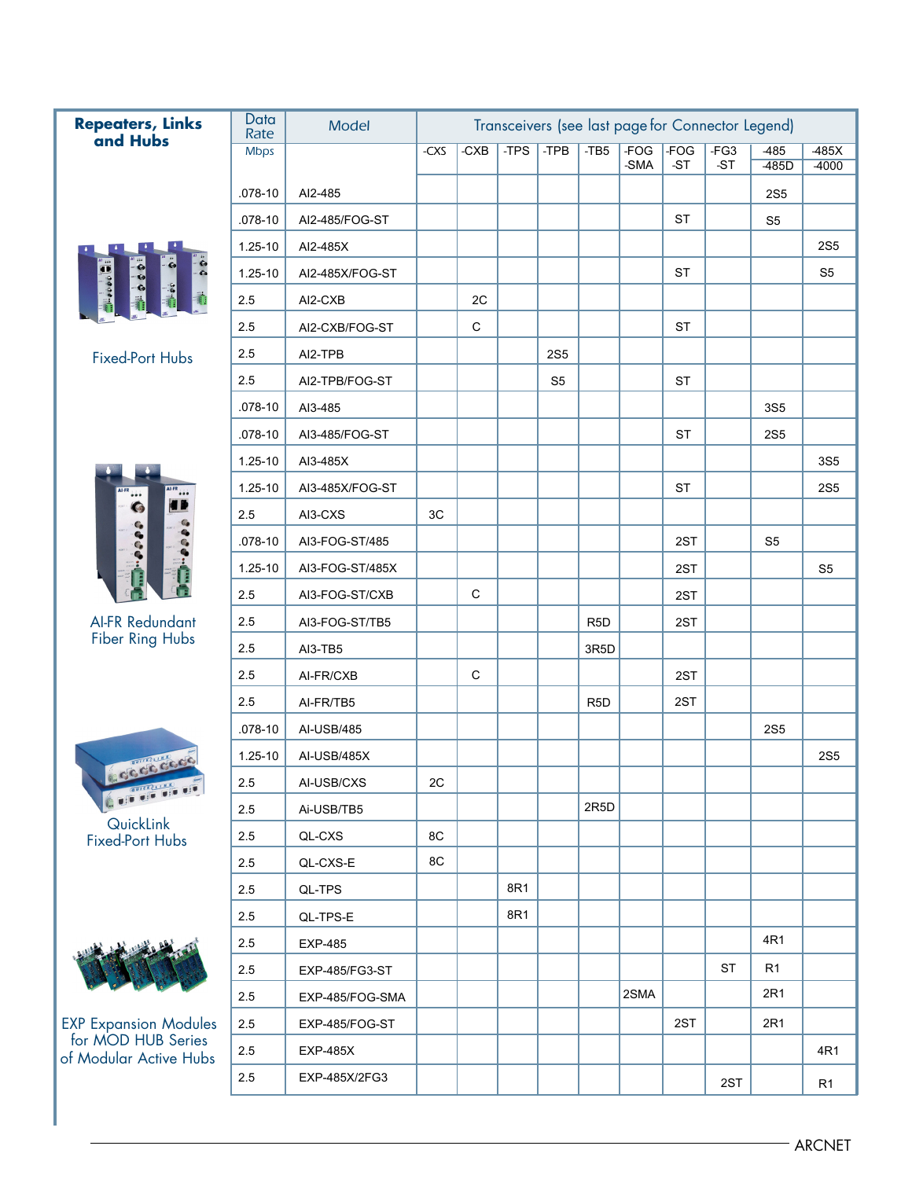| <b>Repeaters, Links</b><br>and Hubs          | Data<br>Rate | Model           |            |               |        |                |                  |                |                 | Transceivers (see last page for Connector Legend) |                   |                    |
|----------------------------------------------|--------------|-----------------|------------|---------------|--------|----------------|------------------|----------------|-----------------|---------------------------------------------------|-------------------|--------------------|
|                                              | <b>Mbps</b>  |                 | $-C 1 C C$ | $-C \times B$ | $-TPS$ | $-TPB$         | $-TB5$           | $-FOG$<br>-SMA | $-FOG$<br>$-ST$ | $-FG3$<br>$-ST$                                   | $-485$<br>$-485D$ | $-485X$<br>$-4000$ |
|                                              | $.078 - 10$  | AI2-485         |            |               |        |                |                  |                |                 |                                                   | <b>2S5</b>        |                    |
|                                              | $.078 - 10$  | AI2-485/FOG-ST  |            |               |        |                |                  |                | <b>ST</b>       |                                                   | S <sub>5</sub>    |                    |
|                                              | 1.25-10      | AI2-485X        |            |               |        |                |                  |                |                 |                                                   |                   | <b>2S5</b>         |
|                                              | $1.25 - 10$  | AI2-485X/FOG-ST |            |               |        |                |                  |                | <b>ST</b>       |                                                   |                   | S <sub>5</sub>     |
|                                              | 2.5          | AI2-CXB         |            | 2C            |        |                |                  |                |                 |                                                   |                   |                    |
|                                              | 2.5          | AI2-CXB/FOG-ST  |            | $\mathsf C$   |        |                |                  |                | <b>ST</b>       |                                                   |                   |                    |
|                                              | 2.5          | AI2-TPB         |            |               |        | <b>2S5</b>     |                  |                |                 |                                                   |                   |                    |
| <b>Fixed-Port Hubs</b>                       | 2.5          | AI2-TPB/FOG-ST  |            |               |        | S <sub>5</sub> |                  |                | <b>ST</b>       |                                                   |                   |                    |
|                                              | $.078 - 10$  | AI3-485         |            |               |        |                |                  |                |                 |                                                   | 3S <sub>5</sub>   |                    |
|                                              | $.078 - 10$  | AI3-485/FOG-ST  |            |               |        |                |                  |                | <b>ST</b>       |                                                   | <b>2S5</b>        |                    |
|                                              | 1.25-10      | AI3-485X        |            |               |        |                |                  |                |                 |                                                   |                   | <b>3S5</b>         |
| <b>AI-FR</b>                                 | $1.25 - 10$  | AI3-485X/FOG-ST |            |               |        |                |                  |                | <b>ST</b>       |                                                   |                   | <b>2S5</b>         |
| 4 D<br>G                                     | 2.5          | AI3-CXS         | 3C         |               |        |                |                  |                |                 |                                                   |                   |                    |
|                                              | $.078 - 10$  | AI3-FOG-ST/485  |            |               |        |                |                  |                | 2ST             |                                                   | S <sub>5</sub>    |                    |
|                                              | $1.25 - 10$  | AI3-FOG-ST/485X |            |               |        |                |                  |                | 2ST             |                                                   |                   | S <sub>5</sub>     |
|                                              | 2.5          | AI3-FOG-ST/CXB  |            | $\mathbf C$   |        |                |                  |                | 2ST             |                                                   |                   |                    |
| <b>AI-FR Redundant</b>                       | 2.5          | AI3-FOG-ST/TB5  |            |               |        |                | R <sub>5</sub> D |                | 2ST             |                                                   |                   |                    |
| Fiber Ring Hubs                              | 2.5          | AI3-TB5         |            |               |        |                | 3R5D             |                |                 |                                                   |                   |                    |
|                                              | 2.5          | AI-FR/CXB       |            | $\mathbf C$   |        |                |                  |                | 2ST             |                                                   |                   |                    |
|                                              | 2.5          | AI-FR/TB5       |            |               |        |                | R <sub>5</sub> D |                | 2ST             |                                                   |                   |                    |
|                                              | $.078 - 10$  | AI-USB/485      |            |               |        |                |                  |                |                 |                                                   | <b>2S5</b>        |                    |
|                                              | 1.25-10      | AI-USB/485X     |            |               |        |                |                  |                |                 |                                                   |                   | <b>2S5</b>         |
| cocococo                                     | 2.5          | AI-USB/CXS      | 2C         |               |        |                |                  |                |                 |                                                   |                   |                    |
| OF OF OUR                                    | 2.5          | Ai-USB/TB5      |            |               |        |                | 2R5D             |                |                 |                                                   |                   |                    |
| QuickLink<br><b>Fixed-Port Hubs</b>          | 2.5          | QL-CXS          | 8C         |               |        |                |                  |                |                 |                                                   |                   |                    |
|                                              | 2.5          | QL-CXS-E        | 8C         |               |        |                |                  |                |                 |                                                   |                   |                    |
|                                              | 2.5          | QL-TPS          |            |               | 8R1    |                |                  |                |                 |                                                   |                   |                    |
|                                              | 2.5          | QL-TPS-E        |            |               | 8R1    |                |                  |                |                 |                                                   |                   |                    |
|                                              | $2.5\,$      | <b>EXP-485</b>  |            |               |        |                |                  |                |                 |                                                   | 4R1               |                    |
|                                              | 2.5          | EXP-485/FG3-ST  |            |               |        |                |                  |                |                 | <b>ST</b>                                         | R1                |                    |
|                                              | 2.5          | EXP-485/FOG-SMA |            |               |        |                |                  | 2SMA           |                 |                                                   | 2R1               |                    |
| <b>EXP Expansion Modules</b>                 | 2.5          | EXP-485/FOG-ST  |            |               |        |                |                  |                | 2ST             |                                                   | 2R1               |                    |
| for MOD HUB Series<br>of Modular Active Hubs | 2.5          | <b>EXP-485X</b> |            |               |        |                |                  |                |                 |                                                   |                   | 4R1                |
|                                              | 2.5          | EXP-485X/2FG3   |            |               |        |                |                  |                |                 | 2ST                                               |                   | R <sub>1</sub>     |
|                                              |              |                 |            |               |        |                |                  |                |                 |                                                   |                   |                    |